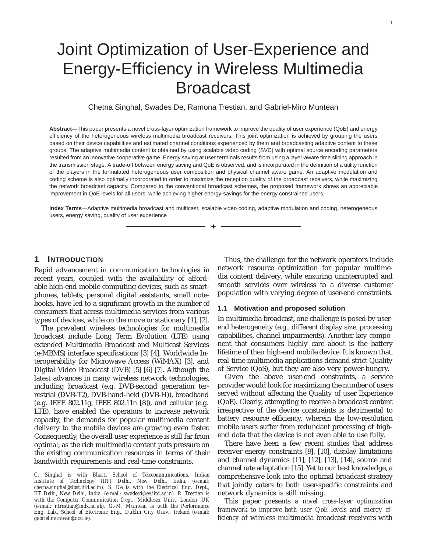# Joint Optimization of User-Experience and Energy-Efficiency in Wireless Multimedia Broadcast

Chetna Singhal, Swades De, Ramona Trestian, and Gabriel-Miro Muntean

**Abstract**—This paper presents a novel cross-layer optimization framework to improve the quality of user experience (QoE) and energy efficiency of the heterogeneous wireless multimedia broadcast receivers. This joint optimization is achieved by grouping the users based on their device capabilities and estimated channel conditions experienced by them and broadcasting adaptive content to these groups. The adaptive multimedia content is obtained by using scalable video coding (SVC) with optimal source encoding parameters resulted from an innovative cooperative game. Energy saving at user terminals results from using a layer-aware time slicing approach in the transmission stage. A trade-off between energy saving and QoE is observed, and is incorporated in the definition of a utility function of the players in the formulated heterogeneous user composition and physical channel aware game. An adaptive modulation and coding scheme is also optimally incorporated in order to maximize the reception quality of the broadcast receivers, while maximizing the network broadcast capacity. Compared to the conventional broadcast schemes, the proposed framework shows an appreciable improvement in QoE levels for all users, while achieving higher energy-savings for the energy constrained users.

**Index Terms**—Adaptive multimedia broadcast and multicast, scalable video coding, adaptive modulation and coding, heterogeneous users, energy saving, quality of user experience ✦

## **1 INTRODUCTION**

Rapid advancement in communication technologies in recent years, coupled with the availability of affordable high-end mobile computing devices, such as smartphones, tablets, personal digital assistants, small notebooks, have led to a significant growth in the number of consumers that access multimedia services from various types of devices, while on the move or stationary [1], [2].

The prevalent wireless technologies for multimedia broadcast include Long Term Evolution (LTE) using extended Multimedia Broadcast and Multicast Services (e-MBMS) interface specifications [3] [4], Worldwide Interoperability for Microwave Access (WiMAX) [3], and Digital Video Broadcast (DVB) [5] [6] [7]. Although the latest advances in many wireless network technologies, including broadcast (e.g. DVB-second generation terrestrial (DVB-T2), DVB-hand-held (DVB-H)), broadband (e.g. IEEE 802.11g, IEEE 802.11n [8]), and cellular (e.g. LTE), have enabled the operators to increase network capacity, the demands for popular multimedia content delivery to the mobile devices are growing even faster. Consequently, the overall user experience is still far from optimal, as the rich multimedia content puts pressure on the existing communication resources in terms of their bandwidth requirements and real-time constraints.

Thus, the challenge for the network operators include network resource optimization for popular multimedia content delivery, while ensuring uninterrupted and smooth services over wireless to a diverse customer population with varying degree of user-end constraints.

## **1.1 Motivation and proposed solution**

In multimedia broadcast, one challenge is posed by userend heterogeneity (e.g., different display size, processing capabilities, channel impairments). Another key component that consumers highly care about is the battery lifetime of their high-end mobile device. It is known that, real-time multimedia applications demand strict Quality of Service (QoS), but they are also very power-hungry.

Given the above user-end constraints, a service provider would look for maximizing the number of users served without affecting the Quality of user Experience (QoE). Clearly, attempting to receive a broadcast content irrespective of the device constraints is detrimental to battery resource efficiency, wherein the low-resolution mobile users suffer from redundant processing of highend data that the device is not even able to use fully.

There have been a few recent studies that address receiver energy constraints [9], [10], display limitations and channel dynamics [11], [12], [13], [14], source and channel rate adaptation [15]. Yet to our best knowledge, a comprehensive look into the optimal broadcast strategy that jointly caters to both user-specific constraints and network dynamics is still missing.

This paper presents *a novel cross-layer optimization framework to improve both user QoE levels and energy efficiency* of wireless multimedia broadcast receivers with

*C. Singhal is with Bharti School of Telecommunications, Indian Institute of Technology (IIT) Delhi, New Delhi, India. (e-mail: chetna.singhal@dbst.iitd.ac.in). S. De is with the Electrical Eng. Dept., IIT Delhi, New Delhi, India. (e-mail: swadesd@ee.iitd.ac.in). R. Trestian is with the Computer Communication Dept., Middlesex Univ., London, UK (e-mail: r.trestian@mdx.ac.uk). G.-M. Muntean is with the Performance Eng. Lab., School of Electronic Eng., Dublin City Univ., Ireland (e-mail: gabriel.muntean@dcu.ie).*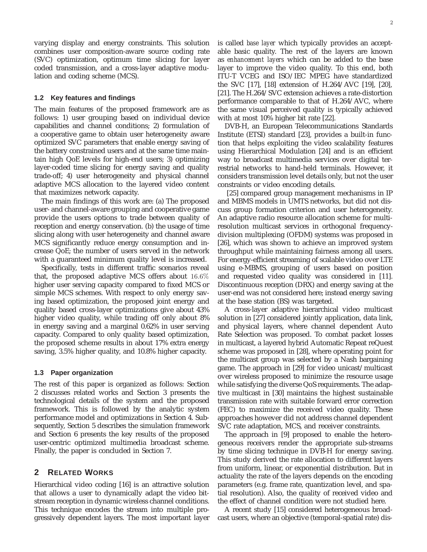varying display and energy constraints. This solution combines user composition-aware source coding rate (SVC) optimization, optimum time slicing for layer coded transmission, and a cross-layer adaptive modulation and coding scheme (MCS).

## **1.2 Key features and findings**

The main features of the proposed framework are as follows: 1) user grouping based on individual device capabilities and channel conditions; 2) formulation of a cooperative game to obtain user heterogeneity aware optimized SVC parameters that enable energy saving of the battery constrained users and at the same time maintain high QoE levels for high-end users; 3) optimizing layer-coded time slicing for energy saving and quality trade-off; 4) user heterogeneity and physical channel adaptive MCS allocation to the layered video content that maximizes network capacity.

The main findings of this work are: (a) The proposed user- and channel-aware grouping and cooperative game provide the users options to trade between quality of reception and energy conservation. (b) the usage of time slicing along with user heterogeneity and channel aware MCS significantly reduce energy consumption and increase QoE; the number of users served in the network with a guaranteed minimum quality level is increased.

Specifically, tests in different traffic scenarios reveal that, the proposed adaptive MCS offers about 16.6% higher user serving capacity compared to fixed MCS or simple MCS schemes. With respect to only energy saving based optimization, the proposed joint energy and quality based cross-layer optimizations give about 43% higher video quality, while trading off only about 8% in energy saving and a marginal 0.62% in user serving capacity. Compared to only quality based optimization, the proposed scheme results in about 17% extra energy saving, 3.5% higher quality, and 10.8% higher capacity.

#### **1.3 Paper organization**

The rest of this paper is organized as follows: Section 2 discusses related works and Section 3 presents the technological details of the system and the proposed framework. This is followed by the analytic system performance model and optimizations in Section 4. Subsequently, Section 5 describes the simulation framework and Section 6 presents the key results of the proposed user-centric optimized multimedia broadcast scheme. Finally, the paper is concluded in Section 7.

# **2 RELATED WORKS**

Hierarchical video coding [16] is an attractive solution that allows a user to dynamically adapt the video bitstream reception in dynamic wireless channel conditions. This technique encodes the stream into multiple progressively dependent layers. The most important layer is called *base layer* which typically provides an acceptable basic quality. The rest of the layers are known as *enhancement layers* which can be added to the base layer to improve the video quality. To this end, both ITU-T VCEG and ISO/IEC MPEG have standardized the SVC [17], [18] extension of H.264/AVC [19], [20], [21]. The H.264/SVC extension achieves a rate-distortion performance comparable to that of H.264/AVC, where the same visual perceived quality is typically achieved with at most 10% higher bit rate [22].

DVB-H, an European Telecommunications Standards Institute (ETSI) standard [23], provides a built-in function that helps exploiting the video scalability features using Hierarchical Modulation [24] and is an efficient way to broadcast multimedia services over digital terrestrial networks to hand-held terminals. However, it considers transmission level details only, but not the user constraints or video encoding details.

[25] compared group management mechanisms in IP and MBMS models in UMTS networks, but did not discuss group formation criterion and user heterogeneity. An adaptive radio resource allocation scheme for multiresolution multicast services in orthogonal frequencydivision multiplexing (OFDM) systems was proposed in [26], which was shown to achieve an improved system throughput while maintaining fairness among all users. For energy-efficient streaming of scalable video over LTE using e-MBMS, grouping of users based on position and requested video quality was considered in [11]. Discontinuous reception (DRX) and energy saving at the user-end was not considered here; instead energy saving at the base station (BS) was targeted.

A cross-layer adaptive hierarchical video multicast solution in [27] considered jointly application, data link, and physical layers, where channel dependent Auto Rate Selection was proposed. To combat packet losses in multicast, a layered hybrid Automatic Repeat reQuest scheme was proposed in [28], where operating point for the multicast group was selected by a Nash bargaining game. The approach in [29] for video unicast/multicast over wireless proposed to minimize the resource usage while satisfying the diverse QoS requirements. The adaptive multicast in [30] maintains the highest sustainable transmission rate with suitable forward error correction (FEC) to maximize the received video quality. These approaches however did not address channel dependent SVC rate adaptation, MCS, and receiver constraints.

The approach in [9] proposed to enable the heterogeneous receivers render the appropriate sub-streams by time slicing technique in DVB-H for energy saving. This study derived the rate allocation to different layers from uniform, linear, or exponential distribution. But in actuality the rate of the layers depends on the encoding parameters (e.g. frame rate, quantization level, and spatial resolution). Also, the quality of received video and the effect of channel condition were not studied here.

A recent study [15] considered heterogeneous broadcast users, where an objective (temporal-spatial rate) dis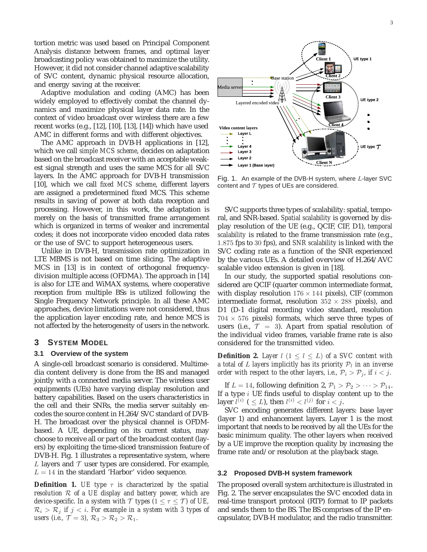tortion metric was used based on Principal Component Analysis distance between frames, and optimal layer broadcasting policy was obtained to maximize the utility. However, it did not consider channel adaptive scalability of SVC content, dynamic physical resource allocation, and energy saving at the receiver.

Adaptive modulation and coding (AMC) has been widely employed to effectively combat the channel dynamics and maximize physical layer data rate. In the context of video broadcast over wireless there are a few recent works (e.g., [12], [10], [13], [14]) which have used AMC in different forms and with different objectives.

The AMC approach in DVB-H applications in [12], which we call *simple MCS scheme*, decides on adaptation based on the broadcast receiver with an acceptable weakest signal strength and uses the same MCS for all SVC layers. In the AMC approach for DVB-H transmission [10], which we call *fixed MCS scheme*, different layers are assigned a predetermined fixed MCS. This scheme results in saving of power at both data reception and processing. However, in this work, the adaptation is merely on the basis of transmitted frame arrangement which is organized in terms of weaker and incremental codes; it does not incorporate video encoded data rates or the use of SVC to support heterogeneous users.

Unlike in DVB-H, transmission rate optimization in LTE MBMS is not based on time slicing. The adaptive MCS in [13] is in context of orthogonal frequencydivision multiple access (OFDMA). The approach in [14] is also for LTE and WiMAX systems, where cooperative reception from multiple BSs is utilized following the Single Frequency Network principle. In all these AMC approaches, device limitations were not considered, thus the application layer encoding rate, and hence MCS is not affected by the heterogeneity of users in the network.

# **3 SYSTEM MODEL**

## **3.1 Overview of the system**

A single-cell broadcast scenario is considered. Multimedia content delivery is done from the BS and managed jointly with a connected media server. The wireless user equipments (UEs) have varying display resolution and battery capabilities. Based on the users characteristics in the cell and their SNRs, the media server suitably encodes the source content in H.264/SVC standard of DVB-H. The broadcast over the physical channel is OFDMbased. A UE, depending on its current status, may choose to receive all or part of the broadcast content (layers) by exploiting the time-sliced transmission feature of DVB-H. Fig. 1 illustrates a representative system, where L layers and  $\mathcal T$  user types are considered. For example,  $L = 14$  in the standard 'Harbor' video sequence.

**Definition 1.** *UE type* τ *is characterized by the spatial resolution* R *of a UE display and battery power, which are device-specific. In a system with*  $\mathcal{T}$  *types* ( $1 \leq \tau \leq \mathcal{T}$ ) *of UE,*  $\mathcal{R}_i > \mathcal{R}_j$  if  $j < i$ . For example in a system with 3 types of *users (i.e.,*  $\mathcal{T} = 3$ *),*  $\mathcal{R}_3 > \mathcal{R}_2 > \mathcal{R}_1$ *.* 



Fig. 1. An example of the DVB-H system, where *L*-layer SVC content and  $T$  types of UEs are considered.

SVC supports three types of scalability: spatial, temporal, and SNR-based. *Spatial scalability* is governed by display resolution of the UE (e.g., QCIF, CIF, D1), *temporal scalability* is related to the frame transmission rate (e.g., 1.875 fps to 30 fps), and *SNR scalability* is linked with the SVC coding rate as a function of the SNR experienced by the various UEs. A detailed overview of H.264/AVC scalable video extension is given in [18].

In our study, the supported spatial resolutions considered are QCIF (quarter common intermediate format, with display resolution  $176 \times 144$  pixels), CIF (common intermediate format, resolution  $352 \times 288$  pixels), and D1 (D-1 digital recording video standard, resolution  $704 \times 576$  pixels) formats, which serve three types of users (i.e.,  $\mathcal{T} = 3$ ). Apart from spatial resolution of the individual video frames, variable frame rate is also considered for the transmitted video.

**Definition 2.** *Layer*  $l$   $(1 \leq l \leq L)$  *of a SVC content with a total of* L layers implicitly has its priority  $P_l$  in an inverse *order with respect to the other layers, i.e.,*  $P_i > P_j$ *, if*  $i < j$ *.* 

If  $L = 14$ , following definition 2,  $\mathcal{P}_1 > \mathcal{P}_2 > \cdots > \mathcal{P}_{14}$ . If a type  $i$  UE finds useful to display content up to the layer  $l^{(i)}$  (  $\leq L$ ), then  $l^{(i)} < l^{(j)}$  for  $i < j$ .

SVC encoding generates different layers: base layer (layer 1) and enhancement layers. Layer 1 is the most important that needs to be received by all the UEs for the basic minimum quality. The other layers when received by a UE improve the reception quality by increasing the frame rate and/or resolution at the playback stage.

#### **3.2 Proposed DVB-H system framework**

The proposed overall system architecture is illustrated in Fig. 2. The server encapsulates the SVC encoded data in real-time transport protocol (RTP) format to IP packets and sends them to the BS. The BS comprises of the IP encapsulator, DVB-H modulator, and the radio transmitter.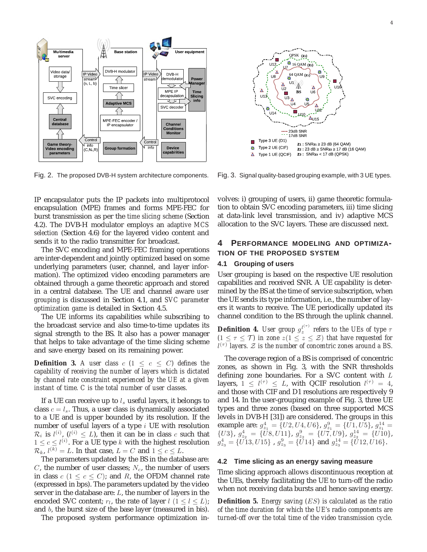

Fig. 2. The proposed DVB-H system architecture components.

IP encapsulator puts the IP packets into multiprotocol encapsulation (MPE) frames and forms MPE-FEC for burst transmission as per the *time slicing scheme* (Section 4.2). The DVB-H modulator employs an *adaptive MCS selection* (Section 4.6) for the layered video content and sends it to the radio transmitter for broadcast.

The SVC encoding and MPE-FEC framing operations are inter-dependent and jointly optimized based on some underlying parameters (user, channel, and layer information). The optimized video encoding parameters are obtained through a game theoretic approach and stored in a central database. The UE and channel aware *user grouping* is discussed in Section 4.1, and *SVC parameter optimization game* is detailed in Section 4.5.

The UE informs its capabilities while subscribing to the broadcast service and also time-to-time updates its signal strength to the BS. It also has a power manager that helps to take advantage of the time slicing scheme and save energy based on its remaining power.

**Definition 3.** *A user class*  $c$  ( $1 \leq c \leq C$ ) defines the *capability of receiving the number of layers which is dictated by channel rate constraint experienced by the UE at a given instant of time. C is the total number of user classes.*

If a UE can receive up to  $l_s$  useful layers, it belongs to class  $c = l_s$ . Thus, a user class is dynamically associated to a UE and is upper bounded by its resolution. If the number of useful layers of a type  $i$  UE with resolution  $\mathcal{R}_i$  is  $l^{(i)}$ ,  $(l^{(i)} \leq L)$ , then it can be in class c such that  $1 \leq c \leq l^{(i)}$ . For a UE type k with the highest resolution  $\mathcal{P}_1$ ,  $l^{(k)} = L$ . In that case  $L = C$  and  $1 \leq c \leq L$ .  $\mathcal{R}_k$ ,  $l^{(k)} = L$ . In that case,  $L = C$  and  $1 \leq c \leq L$ .<br>The parameters undated by the BS in the data

The parameters updated by the BS in the database are:  $C$ , the number of user classes;  $N_c$ , the number of users in class  $c$  (1  $\leq c \leq C$ ); and R, the OFDM channel rate (expressed in bps). The parameters updated by the video server in the database are: L, the number of layers in the encoded SVC content;  $r_l$ , the rate of layer  $l$   $(1 \leq l \leq L)$ ; and b, the burst size of the base layer (measured in bis).

The proposed system performance optimization in-



Fig. 3. Signal quality-based grouping example, with 3 UE types.

volves: i) grouping of users, ii) game theoretic formulation to obtain SVC encoding parameters, iii) time slicing at data-link level transmission, and iv) adaptive MCS allocation to the SVC layers. These are discussed next.

# **4 PERFORMANCE MODELING AND OPTIMIZA-TION OF THE PROPOSED SYSTEM**

# **4.1 Grouping of users**

User grouping is based on the respective UE resolution capabilities and received SNR. A UE capability is determined by the BS at the time of service subscription, when the UE sends its type information, i.e., the number of layers it wants to receive. The UE periodically updated its channel condition to the BS through the uplink channel.

**Definition 4.** User group  $g_z^{l^{(\tau)}}$  refers to the UEs of type  $\tau$  $(1 \leq \tau \leq T)$  *in zone*  $z(1 \leq z \leq Z)$  *that have requested for*  $l^{(\tau)}$  *layers.*  $\mathcal Z$  *is the number of concentric zones around a BS.* 

The coverage region of a BS is comprised of concentric zones, as shown in Fig. 3, with the SNR thresholds defining zone boundaries. For a SVC content with L layers,  $1 \leq l^{(\tau)} \leq L$ , with QCIF resolution  $l^{(\tau)} = 4$ , and those with CIF and D1 resolutions are respectively 9 and those with CIF and D1 resolutions are respectively 9 and 14. In the user-grouping example of Fig. 3, three UE types and three zones (based on three supported MCS levels in DVB-H [31]) are considered. The groups in this example are:  $g_{z_1}^4 = \{U2, U4, U6\}$ ,  $g_{z_1}^9 = \{U1, U5\}$ ,  $g_{z_1}^{14} = \{U3\}$ ,  $g_{z_2}^4 = \{U8, U11\}$ ,  $g_{z_2}^9 = \{U7, U9\}$ ,  $g_{z_2}^{14} = \{U10\}$ ,  $g_{z_3}^4 = \{U13, U15\}$ ,  $g_{z_3}^9 = \{U14\}$  and  $g_{z_3}^{14} = \{U12, U16\}$ .

## **4.2 Time slicing as an energy saving measure**

Time slicing approach allows discontinuous reception at the UEs, thereby facilitating the UE to turn-off the radio when not receiving data bursts and hence saving energy.

**Definition 5.** *Energy saving (*ES*) is calculated as the ratio of the time duration for which the UE's radio components are turned-off over the total time of the video transmission cycle.*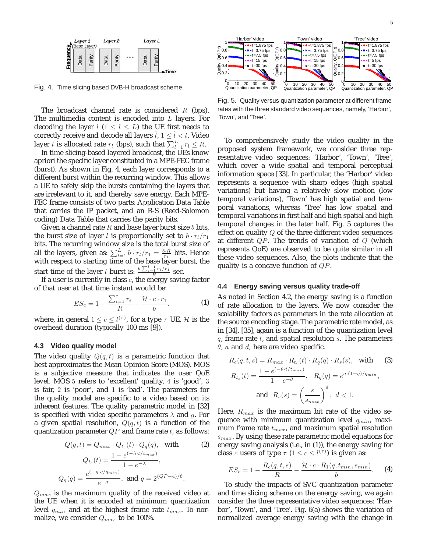

Fig. 4. Time slicing based DVB-H broadcast scheme.

The broadcast channel rate is considered  $R$  (bps). The multimedia content is encoded into  $L$  layers. For decoding the layer  $l$   $(1 \leq l \leq L)$  the UE first needs to correctly receive and decode all layers  $\hat{i}$ ,  $1 \leq \hat{i} < l$ . Video layer *l* is allocated rate  $r_l$  (bps), such that  $\sum_{l=1}^{L} r_l \leq R$ .

In time slicing-based layered broadcast, the UEs know apriori the specific layer constituted in a MPE-FEC frame (burst). As shown in Fig. 4, each layer corresponds to a different burst within the recurring window. This allows a UE to safely skip the bursts containing the layers that are irrelevant to it, and thereby save energy. Each MPE-FEC frame consists of two parts: Application Data Table that carries the IP packet, and an R-S (Reed-Solomon coding) Data Table that carries the parity bits.

Given a channel rate R and base layer burst size b bits, the burst size of layer *l* is proportionally set to  $b \cdot r_l/r_1$ bits. The recurring window size is the total burst size of all the layers, given as:  $\sum_{l=1}^{L} b \cdot r_l/r_1 = \frac{b \cdot R}{r_1}$  bits. Hence<br>with respect to starting time of the base layer burst, the with respect to starting time of the base layer burst, the start time of the layer *l* burst is:  $\frac{b \cdot \sum_{i=1}^{l-1} r_i/r_1}{R}$  sec.

If a user is currently in class  $c$ , the energy saving factor of that user at that time instant would be:

$$
ES_c = 1 - \frac{\sum_{i=1}^{c} r_i}{R} - \frac{\mathcal{H} \cdot c \cdot r_1}{b}.
$$
 (1)

where, in general  $1 \leq c \leq l^{(\tau)}$ , for a type  $\tau$  UE, H is the overhead duration (typically 100 ms [9]) overhead duration (typically 100 ms [9]).

#### **4.3 Video quality model**

The video quality  $Q(q, t)$  is a parametric function that best approximates the Mean Opinion Score (MOS). MOS is a subjective measure that indicates the user QoE level. MOS 5 refers to 'excellent' quality, 4 is 'good', 3 is fair, 2 is 'poor', and 1 is 'bad'. The parameters for the quality model are specific to a video based on its inherent features. The quality parametric model in [32] is specified with video specific parameters  $\lambda$  and g. For a given spatial resolution,  $Q(q, t)$  is a function of the quantization parameter  $QP$  and frame rate t, as follows:

$$
Q(q,t) = Q_{max} \cdot Q_{t_c}(t) \cdot Q_q(q), \text{ with}
$$
\n
$$
Q_{t_c}(t) = \frac{1 - e^{(-\lambda \cdot t/t_{max})}}{1 - e^{-\lambda}},
$$
\n
$$
Q_q(q) = \frac{e^{(-g \cdot q/q_{min})}}{e^{-g}}, \text{ and } q = 2^{(QP-4)/6}.
$$
\n(2)

 $Q_{max}$  is the maximum quality of the received video at the UE when it is encoded at minimum quantization level  $q_{min}$  and at the highest frame rate  $t_{max}$ . To normalize, we consider  $Q_{max}$  to be 100%.



Fig. 5. Quality versus quantization parameter at different frame rates with the three standard video sequences, namely, 'Harbor', 'Town', and 'Tree'.

To comprehensively study the video quality in the proposed system framework, we consider three representative video sequences: 'Harbor', 'Town', 'Tree', which cover a wide spatial and temporal perceptual information space [33]. In particular, the 'Harbor' video represents a sequence with sharp edges (high spatial variations) but having a relatively slow motion (low temporal variations), 'Town' has high spatial and temporal variations, whereas 'Tree' has low spatial and temporal variations in first half and high spatial and high temporal changes in the later half. Fig. 5 captures the effect on quality  $Q$  of the three different video sequences at different  $QP$ . The trends of variation of  $Q$  (which represents QoE) are observed to be quite similar in all these video sequences. Also, the plots indicate that the quality is a concave function of  $QP$ .

#### **4.4 Energy saving versus quality trade-off**

As noted in Section 4.2, the energy saving is a function of rate allocation to the layers. We now consider the scalability factors as parameters in the rate allocation at the source encoding stage. The parametric rate model, as in [34], [35], again is a function of the quantization level  $q$ , frame rate  $t$ , and spatial resolution  $s$ . The parameters  $\theta$ , a and d, here are video specific.

$$
R_c(q, t, s) = R_{max} \cdot R_{t_c}(t) \cdot R_q(q) \cdot R_s(s), \text{ with } (3)
$$
  

$$
R_{t_c}(t) = \frac{1 - e^{(-\theta \cdot t/t_{max})}}{1 - e^{-\theta}}, \quad R_q(q) = e^{a \cdot (1 - q)/q_{min}},
$$
  
and 
$$
R_s(s) = \left(\frac{s}{s_{max}}\right)^d, \quad d < 1.
$$

Here,  $R_{max}$  is the maximum bit rate of the video sequence with minimum quantization level  $q_{min}$ , maximum frame rate  $t_{max}$ , and maximum spatial resolution  $s_{max}$ . By using these rate parametric model equations for energy saving analysis (i.e., in (1)), the energy saving for class c users of type  $\tau$   $(1 \leq c \leq l^{(\tau)})$  is given as:

$$
ES_c = 1 - \frac{R_c(q, t, s)}{R} - \frac{\mathcal{H} \cdot c \cdot R_1(q, t_{min}, s_{min})}{b}.
$$
 (4)

To study the impacts of SVC quantization parameter and time slicing scheme on the energy saving, we again consider the three representative video sequences: 'Harbor', 'Town', and 'Tree'. Fig. 6(a) shows the variation of normalized average energy saving with the change in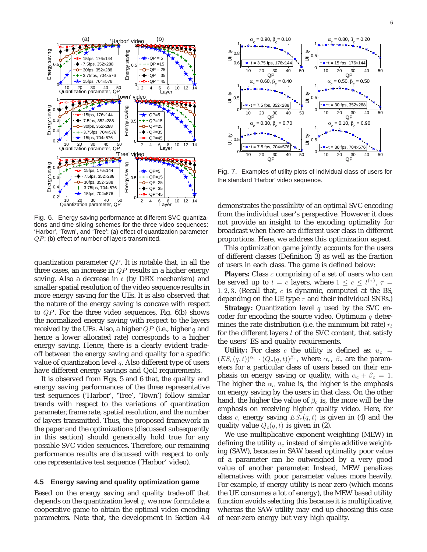

Fig. 6. Energy saving performance at different SVC quantizations and time slicing schemes for the three video sequences: 'Harbor', 'Town', and 'Tree': (a) effect of quantization parameter *QP*; (b) effect of number of layers transmitted.

quantization parameter  $QP$ . It is notable that, in all the three cases, an increase in  $QP$  results in a higher energy saving. Also a decrease in  $t$  (by DRX mechanism) and smaller spatial resolution of the video sequence results in more energy saving for the UEs. It is also observed that the nature of the energy saving is concave with respect to  $QP$ . For the three video sequences, Fig. 6(b) shows the normalized energy saving with respect to the layers received by the UEs. Also, a higher  $QP$  (i.e., higher q and hence a lower allocated rate) corresponds to a higher energy saving. Hence, there is a clearly evident tradeoff between the energy saving and quality for a specific value of quantization level  $q$ . Also different type of users have different energy savings and QoE requirements.

It is observed from Figs. 5 and 6 that, the quality and energy saving performances of the three representative test sequences ('Harbor', 'Tree', 'Town') follow similar trends with respect to the variations of quantization parameter, frame rate, spatial resolution, and the number of layers transmitted. Thus, the proposed framework in the paper and the optimizations (discussed subsequently in this section) should generically hold true for any possible SVC video sequences. Therefore, our remaining performance results are discussed with respect to only one representative test sequence ('Harbor' video).

## **4.5 Energy saving and quality optimization game**

Based on the energy saving and quality trade-off that depends on the quantization level  $q$ , we now formulate a cooperative game to obtain the optimal video encoding parameters. Note that, the development in Section 4.4



Fig. 7. Examples of utility plots of individual class of users for the standard 'Harbor' video sequence.

demonstrates the possibility of an optimal SVC encoding from the individual user's perspective. However it does not provide an insight to the encoding optimality for broadcast when there are different user class in different proportions. Here, we address this optimization aspect.

This optimization game jointly accounts for the users of different classes (Definition 3) as well as the fraction of users in each class. The game is defined below:

Players: Class c comprising of a set of users who can be served up to  $l = c$  layers, where  $1 \leq c \leq l^{(\tau)}$ ,  $\tau =$ <br>1.2.3. (Recall that c is dynamic computed at the BS  $1, 2, 3$ . (Recall that,  $c$  is dynamic, computed at the BS, depending on the UE type  $\tau$  and their individual SNRs.)

**Strategy:** Quantization level  $q$  used by the SVC encoder for encoding the source video. Optimum  $q$  determines the rate distribution (i.e. the minimum bit rate)  $r_l$ for the different layers  $l$  of the SVC content, that satisfy the users' ES and quality requirements.

Utility: For class c the utility is defined as:  $u_c$  =  $(ES_c(q,t))^{\alpha_c} \cdot (Q_c(q,t))^{\beta_c}$ , where  $\alpha_c$ ,  $\beta_c$  are the parameters for a particular class of users based on their emphasis on energy saving or quality, with  $\alpha_c + \beta_c = 1$ . The higher the  $\alpha_c$  value is, the higher is the emphasis on energy saving by the users in that class. On the other hand, the higher the value of  $\beta_c$  is, the more will be the emphasis on receiving higher quality video. Here, for class c, energy saving  $ES_c(q, t)$  is given in (4) and the quality value  $Q_c(q, t)$  is given in (2).

We use multiplicative exponent weighting (MEW) in defining the utility  $u_c$  instead of simple additive weighting (SAW), because in SAW based optimality poor value of a parameter can be outweighed by a very good value of another parameter. Instead, MEW penalizes alternatives with poor parameter values more heavily. For example, if energy utility is near zero (which means the UE consumes a lot of energy), the MEW based utility function avoids selecting this because it is multiplicative, whereas the SAW utility may end up choosing this case of near-zero energy but very high quality.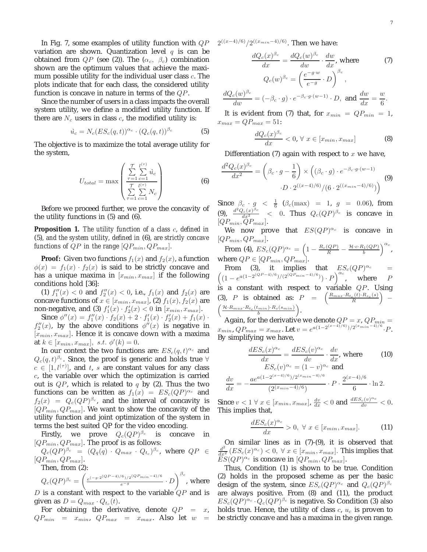In Fig. 7, some examples of utility function with QP variation are shown. Quantization level  $q$  is can be obtained from  $QP$  (see (2)). The ( $\alpha_c$ ,  $\beta_c$ ) combination shown are the optimum values that achieve the maximum possible utility for the individual user class  $c$ . The plots indicate that for each class, the considered utility function is concave in nature in terms of the QP.

Since the number of users in a class impacts the overall system utility, we define a modified utility function. If there are  $N_c$  users in class  $c$ , the modified utility is:

$$
\dot{u}_c = N_c (ES_c(q, t))^{\alpha_c} \cdot (Q_c(q, t))^{\beta_c} \tag{5}
$$

The objective is to maximize the total average utility for the system,

$$
U_{total} = \max\left(\frac{\sum\limits_{\tau=1}^{\tau} \sum\limits_{c=1}^{\ell^{(\tau)}} \hat{u}_c}{\sum\limits_{\tau=1}^{\tau} \sum\limits_{c=1}^{\ell^{(\tau)}} N_c}\right)
$$
(6)

Before we proceed further, we prove the concavity of the utility functions in (5) and (6).

**Proposition 1.** *The utility function of a class* c*, defined in* (5)*, and the system utility, defined in* (6)*, are strictly concave functions of*  $QP$  *in the range*  $[QP_{min}, QP_{max}]$ *.* 

**Proof:** Given two functions  $f_1(x)$  and  $f_2(x)$ , a function  $\phi(x) = f_1(x) \cdot f_2(x)$  is said to be strictly concave and has a unique maxima in  $[x_{min}, x_{max}]$  if the following conditions hold [36]:

(1)  $f_1''(x) < 0$  and  $f_2''(x) < 0$ , i.e.,  $f_1(x)$  and  $f_2(x)$  are<br>prove functions of  $x \in [x, x-1]$  (2)  $f_1(x)$   $f_2(x)$  are concave functions of  $x \in [x_{min}, x_{max}]$ , (2)  $f_1(x), f_2(x)$  are non-negative, and (3)  $f'_1(x) \cdot f'_2(x) < 0$  in  $[x_{min}, x_{max}]$ .<br>Since  $s''(x) = f''(x)$ ,  $f_2(x) \neq 2$ ,  $f'(x)$ ,  $f'(x) \neq f_1(x)$ 

Since  $\phi''(x) = f''_1(x) \cdot f_2(x) + 2 \cdot f'_1(x) \cdot f'_2(x) + f_1(x) \cdot f'_2(x)$ <br>
(x) by the above conditions  $\phi''(x)$  is negative in  $f''_2(x)$ , by the above conditions  $\phi''(x)$  is negative in  $[x \cdot x]$ . Hence it is concave down with a maxima  $[x_{min}, x_{max}]$ . Hence it is concave down with a maxima at  $k \in [x_{min}, x_{max}]$ , s.t.  $\phi'(k) = 0$ .<br>In our context the two function

In our context the two functions are:  $ES_c(q, t)^{\alpha_c}$  and  $Q_c(q, t)^{\beta_c}$ . Since, the proof is generic and holds true  $\forall$  $c \in [1, l^{(\tau)}]$ , and t, s are constant values for any class  $c$ , the variable over which the optimization is carried  $c$ , the variable over which the optimization is carried out is  $QP$ , which is related to q by (2). Thus the two functions can be written as  $f_1(x) = ES_c(QP)^{\alpha_c}$  and  $f_2(x) = Q_c(QP)^{\beta_c}$ , and the interval of concavity is  $[QP_{min}, QP_{max}]$ . We want to show the concavity of the utility function and joint optimization of the system in terms the best suited QP for the video encoding.

Firstly, we prove  $Q_c(QP)^{\beta_c}$  is concave in  $[QP_{min}, QP_{max}]$ . The proof is as follows:

 $Q_c(QP)^{\beta_c} = (Q_q(q) \cdot Q_{max} \cdot Q_{t_c})^{\beta_c}$ , where  $QP \in$  $[QP_{min},QP_{max}].$ 

Then, from (2):

$$
Q_c(QP)^{\beta_c} = \left(\frac{e^{(-g \cdot 2^{(QP-4)/6})/2^{(QP_{min}-4)/6}}}{e^{-g}} \cdot D\right)^{\beta_c}, \text{ where}
$$
 is a constant with respect to the variable  $QP$  and is

D is a constant with respect to the variable  $QP$  and is given as  $D = Q_{max} \cdot Q_{t_c}(t)$ .

For obtaining the derivative, denote  $QP = x$ ,  $QP_{min} = x_{min}$ ,  $QP_{max} = x_{max}$ . Also let  $w =$   $2^{((x-4)/6)}/2^{((x_{min}-4)/6)}$ . Then we have:

$$
\frac{dQ_c(x)^{\beta_c}}{dx} = \frac{dQ_c(w)^{\beta_c}}{dw} \cdot \frac{dw}{dx}, \text{ where } Q_c(w)^{\beta_c} = \left(\frac{e^{-g \cdot w}}{e^{-g}} \cdot D\right)^{\beta_c},
$$
\n
$$
\frac{dQ_c(w)^{\beta_c}}{dw} = (-\beta_c \cdot g) \cdot e^{-\beta_c \cdot g \cdot (w-1)} \cdot D, \text{ and } \frac{dw}{dx} = \frac{w}{6}.
$$
\n1.  $\therefore$   $\therefore$   $\therefore$   $\therefore$   $\therefore$   $\therefore$   $\therefore$   $\therefore$   $\therefore$   $\therefore$   $\therefore$   $\therefore$   $\therefore$   $\therefore$   $\therefore$   $\therefore$   $\therefore$   $\therefore$   $\therefore$   $\therefore$   $\therefore$   $\therefore$   $\therefore$   $\therefore$   $\therefore$   $\therefore$   $\therefore$   $\therefore$   $\therefore$   $\therefore$   $\therefore$   $\therefore$   $\therefore$   $\therefore$   $\therefore$   $\therefore$   $\therefore$   $\therefore$   $\therefore$   $\therefore$   $\therefore$   $\therefore$   $\therefore$   $\therefore$   $\therefore$   $\therefore$   $\therefore$   $\therefore$   $\therefore$   $\therefore$   $\therefore$   $\therefore$   $\therefore$   $\therefore$   $$ 

It is evident from (7) that, for  $x_{min} = Q P_{min} = 1$ ,<br> $- Q P_{min} = 51$ .  $x_{max} = QP_{max} = 51$ :

$$
\frac{dQ_c(x)^{\beta_c}}{dx} < 0, \forall \ x \in [x_{min}, x_{max}] \tag{8}
$$

Differentiation (7) again with respect to x we have,

$$
\frac{d^2 Q_c(x)^{\beta_c}}{dx^2} = \left(\beta_c \cdot g - \frac{1}{6}\right) \times \left((\beta_c \cdot g) \cdot e^{-\beta_c \cdot g \cdot (w-1)} \cdot D \cdot 2^{((x-4)/6)}/(6 \cdot 2^{((x_{min}-4)/6)})\right)
$$
\n(9)

Since  $\beta_c \cdot g < \frac{1}{6}$  ( $\beta_c$ (max) = 1, g = 0.06), from (9),  $\frac{d^2Q_c(x)^{\beta c}}{dx^2}$  < 0. Thus  $Q_c(QP)^{\beta_c}$  is concave in  $[QP_{min},QP_{max}].$ 

We now prove that  $ES(QP)^{\alpha_c}$  is concave in  $[QP_{min},QP_{max}].$ 

From (4),  $ES_c(QP)^{\alpha_c} = \left(1 - \frac{R_c(QP)}{R} - \frac{\mathcal{H} \cdot c \cdot R_1(QP)}{b}\right)^{\alpha_c}$ , where  $QP \in [QP_{min}, QP_{max}]$ .<br>From (3) it implies

From (3), it implies that  $ES_c(QP)^{\alpha_c} =$ <br> $\left((1-e^{a(1-2^{(QP-a)/6})}/(2^{(QPmin^{-4})/6})\right)$ ,  $P\right)^{\alpha_c}$  where  $P$  $(1 - e^{a(1-2^{(QP-4)/6})/(2^{(QP_{min}-4)/6})}) \cdot P \Big)^{\alpha_c}$ , where P is a constant with respect to variable  $QP$ . Using (3), *P* is obtained as:  $P = \left(\frac{R_{max} \cdot R_{t_c}(t) \cdot R_{s_c}(s)}{R}\right)$  –  $\left(\frac{\mathcal{H}\cdot R_{max}\cdot R_{t_c}(t_{min})\cdot R_s(s_{min})}{b}\right)$ .

Again, for the derivative we denote  $QP = x$ ,  $QP_{min} = QP = x$ ,  $Q = x$ ,  $Q = x$ ,  $Q = x$ ,  $Q = x$ ,  $Q = x$ ,  $Q = x$ ,  $Q = x$ ,  $Q = x$ ,  $Q = x$ ,  $Q = x$ ,  $Q = x$ ,  $Q = x$ ,  $Q = x$ ,  $Q = x$ ,  $Q = x$ ,  $Q = x$ ,  $Q = x$ ,  $Q = x$ ,  $Q = x$ ,  $Q = x$ ,  $Q = x$ ,  $Q = x$ ,  $Q = x$ ,  $Q = x$  $x_{min}$ ,  $QP_{max} = x_{max}$ . Let  $v = e^{a(1-2^{(x-4)/6)})/2^{(x_{min}-4)/6}}$ . P.<br>By simplifying we have By simplifying we have,

$$
\frac{dES_c(x)^{\alpha_c}}{dx} = \frac{dES_c(v)^{\alpha_c}}{dv} \cdot \frac{dv}{dx}, \text{ where } \qquad (10)
$$

$$
ES_c(v)^{\alpha_c} = (1 - v)^{\alpha_c} \text{ and }
$$

$$
\frac{dv}{dx} = -\frac{ae^{a(1 - 2^{(x - 4)/6})/2^{(x_{min} - 4)/6}}}{(2^{(x_{min} - 4)/6})} \cdot P \cdot \frac{2^{(x - 4)/6}}{6} \cdot \ln 2.
$$

Since  $v < 1 \ \forall x \in [x_{min}, x_{max}]$ ,  $\frac{dv}{dx} < 0$  and  $\frac{dES_c(v)^{\alpha c}}{dv} < 0$ .<br>This implies that This implies that,

$$
\frac{dES_c(x)^{\alpha_c}}{dx} > 0, \ \forall \ x \in [x_{min}, x_{max}]. \tag{11}
$$

On similar lines as in (7)-(9), it is observed that  $\frac{d^2}{dx^2}$   $(ES_c(x)^{\alpha_c}) < 0, \forall x \in [x_{min}, x_{max}]$ . This implies that  $\widetilde{ES}(QP)^{\alpha_c}$  is concave in  $[QP_{min}, QP_{max}]$ .

Thus, Condition (1) is shown to be true. Condition (2) holds in the proposed scheme as per the basic design of the system, since  $ES_c(QP)^{\alpha_c}$  and  $Q_c(QP)^{\beta_c}$ are always positive. From (8) and (11), the product  $ES_c(QP)^{\alpha_c} \cdot Q_c(QP)^{\beta_c}$  is negative. So Condition (3) also holds true. Hence, the utility of class  $c, u_c$  is proven to be strictly concave and has a maxima in the given range.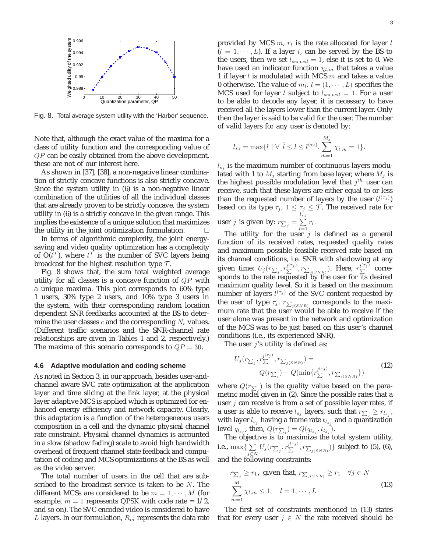

Fig. 8. Total average system utility with the 'Harbor' sequence.

Note that, although the exact value of the maxima for a class of utility function and the corresponding value of  $QP$  can be easily obtained from the above development, these are not of our interest here.

As shown in [37], [38], a non-negative linear combination of strictly concave functions is also strictly concave. Since the system utility in (6) is a non-negative linear combination of the utilities of all the individual classes that are already proven to be strictly concave, the system utility in (6) is a strictly concave in the given range. This implies the existence of a unique solution that maximizes the utility in the joint optimization formulation.  $\Box$ 

In terms of algorithmic complexity, the joint energysaving and video quality optimization has a complexity of  $O(l^{\mathcal{T}})$ , where  $l^{\mathcal{T}}$  is the number of SVC layers being broadcast for the highest resolution type  $\mathcal{T}$ .

Fig. 8 shows that, the sum total weighted average utility for all classes is a concave function of  $QP$  with a unique maxima. This plot corresponds to 60% type 1 users, 30% type 2 users, and 10% type 3 users in the system, with their corresponding random location dependent SNR feedbacks accounted at the BS to determine the user classes  $c$  and the corresponding  $N_c$  values. (Different traffic scenarios and the SNR-channel rate relationships are given in Tables 1 and 2, respectively.) The maxima of this scenario corresponds to  $QP = 30$ .

#### **4.6 Adaptive modulation and coding scheme**

As noted in Section 3, in our approach, besides user-andchannel aware SVC rate optimization at the application layer and time slicing at the link layer, at the physical layer adaptive MCS is applied which is optimized for enhanced energy efficiency and network capacity. Clearly, this adaptation is a function of the heterogeneous users composition in a cell and the dynamic physical channel rate constraint. Physical channel dynamics is accounted in a slow (shadow fading) scale to avoid high bandwidth overhead of frequent channel state feedback and computation of coding and MCS optimizations at the BS as well as the video server.

The total number of users in the cell that are subscribed to the broadcast service is taken to be N. The different MCSs are considered to be  $m = 1, \dots, M$  (for example,  $m = 1$  represents QPSK with code rate =  $1/2$ , and so on). The SVC encoded video is considered to have L layers. In our formulation,  $R_m$  represents the data rate

provided by MCS  $m, r_l$  is the rate allocated for layer l  $(l = 1, \dots, L)$ . If a layer l, can be served by the BS to the users, then we set  $l_{served} = 1$ , else it is set to 0. We have used an indicator function  $\chi_{l,m}$  that takes a value 1 if layer  $l$  is modulated with MCS  $m$  and takes a value 0 otherwise. The value of  $m_l$ ,  $l = (1, \dots, L)$  specifies the MCS used for layer l subject to  $l_{served} = 1$ . For a user to be able to decode any layer, it is necessary to have received all the layers lower than the current layer. Only then the layer is said to be valid for the user. The number of valid layers for any user is denoted by:

$$
l_{s_j} = \max\{l \mid \forall \ l \leq l \leq l^{(\tau_j)}, \sum_{m=1}^{M_j} \chi_{\hat{l},\hat{m}} = 1\}.
$$

 $l_{s_i}$  is the maximum number of continuous layers modulated with 1 to  $M_i$  starting from base layer, where  $M_i$  is the highest possible modulation level that  $j<sup>th</sup>$  user can receive, such that these layers are either equal to or less than the requested number of layers by the user  $(l^{(\tau_j)})$ based on its type  $\tau_j$ ,  $1 \leq \tau_j \leq \tau'$ . The received rate for user *j* is given by:  $r_{\sum_j} = \sum_{l=1}^{l_{sj}}$  $\sum_{l=1}^{\infty} r_l.$ 

The utility for the user  $j$  is defined as a general function of its received rates, requested quality rates and maximum possible feasible received rate based on its channel conditions, i.e. SNR with shadowing at any given time:  $U_j(r_{\sum_j}, r_{\sum_j({SNR})}^{l^{(\tau_j)}}, r_{\sum_j({SNR})}^{r})$ . Here,  $r_{\sum_j}^{l^{(\tau_j)}}$  corresponds to the rate requested by the user for its desired maximum quality level. So it is based on the maximum number of layers  $l^{(\tau_j)}$  of the SVC content requested by the user of type  $\tau_j$ .  $r_{\sum_j (SNR)}$  corresponds to the maxi-<br>mum note that the user would be able to reseive if the mum rate that the user would be able to receive if the user alone was present in the network and optimization of the MCS was to be just based on this user's channel conditions (i.e., its experienced SNR).

The user  $j$ 's utility is defined as:

$$
U_j(r_{\sum_j}, r_{\sum_j}^{l^{(\tau_j)}}, r_{\sum_{j(SNR)}}) =
$$
  
 
$$
Q(r_{\sum_j}) - Q(\min\{r_{\sum_j}^{l^{(\tau_j)}}, r_{\sum_{j(SNR)}}\})
$$
 (12)

where  $Q(r_{\sum_j})$  is the quality value based on the para-<br>metric model given in (2). Since the possible rates that a metric model given in (2). Since the possible rates that a user  $j$  can receive is from a set of possible layer rates, if a user is able to receive  $l_{s_j}$  layers, such that  $r_{\sum_j \ge r_{l_{s_j}}}$ ,  $r_{l_{s_j}}$ , with layer  $l_{s_j}$  having a frame rate  $t_{l_{s_j}}$  and a quantization level  $q_{l_{s_j}}$ , then,  $Q(r_{\sum_j}) = Q(q_{l_{s_j}}, t_{l_{s_j}})$ .<br>The objective is to maximize the total system utility,

i.e., max $\{\sum_{j\in\mathbb{N}}\}$  $\sum_{j \in N} U_j(r_{\sum_j}, r_{\sum_j(SNR)}^{l^{(\tau_j)}}, r_{\sum_{j(SNR)}}) \}$  subject to (5), (6), and the following constraints:

$$
r_{\sum_{j} \geq r_{1}}, \text{ given that, } r_{\sum_{j(SNR)}} \geq r_{1} \quad \forall j \in N
$$
  

$$
\sum_{m=1}^{M} \chi_{l,m} \leq 1, \quad l = 1, \cdots, L
$$
 (13)

The first set of constraints mentioned in (13) states that for every user  $j \in N$  the rate received should be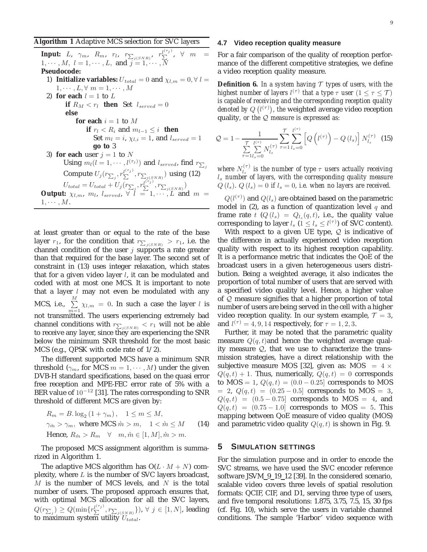## **Algorithm 1** Adaptive MCS selection for SVC layers

**Input:** L,  $\gamma_m$ ,  $R_m$ ,  $r_l$ ,  $r_{\sum_{j(SNR)}}, r_{l}^{l^{(\tau_j)}}, \forall m =$ <br>
1 *M*<sub>1-1</sub> *I* and  $i=1$  $1, \dots, M, l = 1, \dots, L, \text{ and } j = 1, \dots, \overline{N}$ <br>**Pseudocode: Pseudocode:** 1) **Initialize variables:**  $U_{total} = 0$  and  $\chi_{l,m} = 0, \forall l =$  $1, \cdots, L, \forall m = 1, \cdots, M$ 2) **for each**  $l = 1$  to  $L$ **if**  $R_M < r_l$  **then** Set  $l_{served} = 0$ **else for each**  $i = 1$  to M **if**  $r_l < R_i$  and  $m_{l-1} \leq i$  **then** Set  $m_l = i$ ,  $\chi_{l,i} = 1$ , and  $l_{served} = 1$ **go to** 3 3) **for each** user  $j = 1$  to N Using  $m_l(l = 1, \dots, l^{(\tau_j)})$  and  $l_{sevved}$ , find  $r_{\sum_{i=1}^{(\tau_j)}}$ *j* Compute  $U_j(r_{\sum_j}, r_{\sum_j(s_{N,R})}^{l^{(\tau_j)}}, r_{\sum_j(s_{N,R})}^{(s_{N,R})})$  using (12) **U**<sub>total</sub> =  $U_{total} + U_j(r_{\sum_j}, r_{\sum_j (SNR)}^{(r_j)}, r_{\sum_j (SNR)}$ <br> **Output:**  $\chi_{l,m}$ ,  $m_l$ , l<sub>served</sub>, ∀ l = 1, ··· , L and m =  $1, \cdots, M$ .

at least greater than or equal to the rate of the base layer  $r_1$ , for the condition that  $r_{\sum_{j(SNR)}} > r_1$ , i.e. the channel condition of the user  $j$  supports a rate greater than that required for the base layer. The second set of constraint in (13) uses integer relaxation, which states that for a given video layer  $l$ , it can be modulated and coded with at most one MCS. It is important to note that a layer  $l$  may not even be modulated with any MCS, i.e.,  $\sum^{M}$  $\sum_{m=1}$   $\chi_{l,m} = 0$ . In such a case the layer l is not transmitted. The users experiencing extremely bad channel conditions with  $r_{\sum j(SNR)} < r_1$  will not be able<br>to receive any layer since that are experiencing the SNB to receive any layer, since they are experiencing the SNR below the minimum SNR threshold for the most basic MCS (e.g., QPSK with code rate of 1/2).

The different supported MCS have a minimum SNR threshold ( $\gamma_m$ , for MCS  $m = 1, \dots, M$ ) under the given DVB-H standard specifications, based on the quasi error free reception and MPE-FEC error rate of 5% with a BER value of 10<sup>−</sup><sup>12</sup> [31]. The rates corresponding to SNR threshold of different MCS are given by:

$$
R_m = B \cdot \log_2 (1 + \gamma_m), \quad 1 \le m \le M,
$$
  
\n
$$
\gamma_m > \gamma_m, \text{ where } \text{MCS } \hat{m} > m, \quad 1 < \hat{m} \le M \tag{14}
$$
  
\nHence,  $R_{\hat{m}} > R_m \quad \forall \quad m, \hat{m} \in [1, M], \hat{m} > m.$ 

The proposed MCS assignment algorithm is summarized in Algorithm 1.

The adaptive MCS algorithm has  $O(L \cdot M + N)$  complexity, where  $L$  is the number of SVC layers broadcast,  $M$  is the number of MCS levels, and  $N$  is the total number of users. The proposed approach ensures that, with optimal MCS allocation for all the SVC layers,  $Q(r_{\sum_j}) \geq Q(\min\{r^{l^{(\tau_j)}}_{\sum}, r_{\sum_{j(SNR)}}\}), \ \forall \ j \in [1, N],$  leading to maximum system utility  $U_{total}$ .

## **4.7 Video reception quality measure**

For a fair comparison of the quality of reception performance of the different competitive strategies, we define a video reception quality measure.

**Definition 6.** In a system having  $T$  types of users, with the *highest number of layers*  $l^{(\tau)}$  *that a type*  $\tau$  *user*  $(1 \leq \tau \leq \tau)$  *is canable of receiving and the corresponding recention quality is capable of receiving and the corresponding reception quality denoted by*  $Q(l^{(\tau)})$ , *the* weighted average video reception quality*, or the* Q *measure is expressed as:*

$$
Q = 1 - \frac{1}{\sum_{\tau=1}^{T} \sum_{l_s=0}^{l(\tau)} N_{l_s}^{(\tau)}} \sum_{\tau=1}^{T} \sum_{l_s=0}^{l^{(\tau)}} \left[ Q\left(l^{(\tau)}\right) - Q\left(l_s\right) \right] N_{l_s}^{(\tau)} \quad (15)
$$

*where*  $N_i^{(\tau)}$  *is the number of type*  $\tau$  *users actually receiving i number of layers with the corresponding quality measure*  $l_s$  *number of layers, with the corresponding quality measure*  $Q(l_s)$ *.*  $Q(l_s) = 0$  *if*  $l_s = 0$ *, i.e. when no layers are received.* 

 $Q(l^{(\tau)})$  and  $Q(l_s)$  are obtained based on the parametric<br>odel in (2), as a function of quantization level g and model in (2), as a function of quantization level  $q$  and frame rate t  $(Q(l_s) = Q_{l_s}(q, t))$ , i.e., the quality value corresponding to layer  $l_s$   $(1 \leq l_s \leq l^{(\tau)})$  of SVC content).<br>With respect to a given LIF type  $\Omega$  is indicative of

With respect to a given UE type,  $Q$  is indicative of the difference in actually experienced video reception quality with respect to its highest reception capability. It is a performance metric that indicates the QoE of the broadcast users in a given heterogeneous users distribution. Being a weighted average, it also indicates the proportion of total number of users that are served with a specified video quality level. Hence, a higher value of Q measure signifies that a higher proportion of total number of users are being served in the cell with a higher video reception quality. In our system example,  $\mathcal{T} = 3$ , and  $l^{(\tau)} = 4, 9, 14$  respectively, for  $\tau = 1, 2, 3$ .<br>Further, it may be noted that the parameters

Further, it may be noted that the parametric quality measure  $Q(q, t)$  and hence the weighted average quality measure Q, that we use to characterize the transmission strategies, have a direct relationship with the subjective measure MOS [32], given as: MOS  $= 4 \times$  $Q(q, t)+1$ . Thus, numerically,  $Q(q, t)=0$  corresponds to  $MOS = 1$ ,  $Q(q, t) = (0.0 - 0.25)$  corresponds to MOS  $= 2, Q(q, t) = (0.25 - 0.5]$  corresponds to MOS  $= 3$ ,  $Q(q, t) = (0.5 - 0.75)$  corresponds to MOS = 4, and  $Q(q, t) = (0.75 - 1.0)$  corresponds to MOS = 5. This mapping between QoE measure of video quality (MOS) and parametric video quality  $Q(q, t)$  is shown in Fig. 9.

#### **5 SIMULATION SETTINGS**

For the simulation purpose and in order to encode the SVC streams, we have used the SVC encoder reference software JSVM\_9\_19\_12 [39]. In the considered scenario, scalable video covers three levels of spatial resolution formats: QCIF, CIF, and D1, serving three type of users, and five temporal resolutions: 1.875, 3.75, 7.5, 15, 30 fps (cf. Fig. 10), which serve the users in variable channel conditions. The sample 'Harbor' video sequence with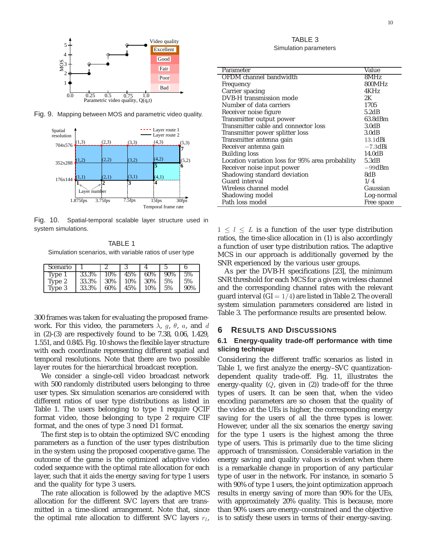

Fig. 9. Mapping between MOS and parametric video quality.



Fig. 10. Spatial-temporal scalable layer structure used in system simulations.

TABLE 1 Simulation scenarios, with variable ratios of user type

| Scenario |       |     |     |     |     |     |
|----------|-------|-----|-----|-----|-----|-----|
| Type 1   | 33.3% | 10% | 45% | 60% | 90% | 5%  |
| Type 2   | 33.3% | 30% | 10% | 30% | 5%  | 5%  |
| Type 3   | 33.3% | 60% | 45% | 10% | 5%  | 90% |

300 frames was taken for evaluating the proposed framework. For this video, the parameters  $\lambda$ , g,  $\theta$ , a, and d in (2)-(3) are respectively found to be 7.38, 0.06, 1.429, 1.551, and 0.845. Fig. 10 shows the flexible layer structure with each coordinate representing different spatial and temporal resolutions. Note that there are two possible layer routes for the hierarchical broadcast reception.

We consider a single-cell video broadcast network with 500 randomly distributed users belonging to three user types. Six simulation scenarios are considered with different ratios of user type distributions as listed in Table 1. The users belonging to type 1 require QCIF format video, those belonging to type 2 require CIF format, and the ones of type 3 need D1 format.

The first step is to obtain the optimized SVC encoding parameters as a function of the user types distribution in the system using the proposed cooperative game. The outcome of the game is the optimized adaptive video coded sequence with the optimal rate allocation for each layer, such that it aids the energy saving for type 1 users and the quality for type 3 users.

The rate allocation is followed by the adaptive MCS allocation for the different SVC layers that are transmitted in a time-sliced arrangement. Note that, since the optimal rate allocation to different SVC layers  $r_l$ ,

TABLE 3 Simulation parameters

| Parameter                                        | Value        |  |  |
|--------------------------------------------------|--------------|--|--|
| OFDM channel bandwidth                           | 8MHz         |  |  |
| Frequency                                        | 800MHz       |  |  |
| Carrier spacing                                  | 4KHz         |  |  |
| DVB-H transmission mode                          | 2K           |  |  |
| Number of data carriers                          | 1705         |  |  |
| Receiver noise figure                            | 5.2dB        |  |  |
| Transmitter output power                         | 63.8dBm      |  |  |
| Transmitter cable and connector loss             | 3.0dB        |  |  |
| Transmitter power splitter loss                  | 3.0dB        |  |  |
| Transmitter antenna gain                         | $13.1$ dBi   |  |  |
| Receiver antenna gain                            | $-7.3$ dBi   |  |  |
| <b>Building loss</b>                             | 14.0dB       |  |  |
| Location variation loss for 95% area probability | 5.3dB        |  |  |
| Receiver noise input power                       | $-99$ d $Bm$ |  |  |
| Shadowing standard deviation                     | 8dB          |  |  |
| Guard interval                                   | 1/4          |  |  |
| Wireless channel model                           | Gaussian     |  |  |
| Shadowing model                                  | Log-normal   |  |  |
| Path loss model                                  | Free space   |  |  |

 $1 \leq l \leq L$  is a function of the user type distribution ratios, the time-slice allocation in (1) is also accordingly a function of user type distribution ratios. The adaptive MCS in our approach is additionally governed by the SNR experienced by the various user groups.

As per the DVB-H specifications [23], the minimum SNR threshold for each MCS for a given wireless channel and the corresponding channel rates with the relevant guard interval  $(GI = 1/4)$  are listed in Table 2. The overall system simulation parameters considered are listed in Table 3. The performance results are presented below.

# **6 RESULTS AND DISCUSSIONS**

## **6.1 Energy-quality trade-off performance with time slicing technique**

Considering the different traffic scenarios as listed in Table 1, we first analyze the energy–SVC quantizationdependent quality trade-off. Fig. 11, illustrates the energy-quality  $(Q, \text{ given in (2)})$  trade-off for the three types of users. It can be seen that, when the video encoding parameters are so chosen that the quality of the video at the UEs is higher, the corresponding energy saving for the users of all the three types is lower. However, under all the six scenarios the energy saving for the type 1 users is the highest among the three type of users. This is primarily due to the time slicing approach of transmission. Considerable variation in the energy saving and quality values is evident when there is a remarkable change in proportion of any particular type of user in the network. For instance, in scenario 5 with 90% of type 1 users, the joint optimization approach results in energy saving of more than 90% for the UEs, with approximately 20% quality. This is because, more than 90% users are energy-constrained and the objective is to satisfy these users in terms of their energy-saving.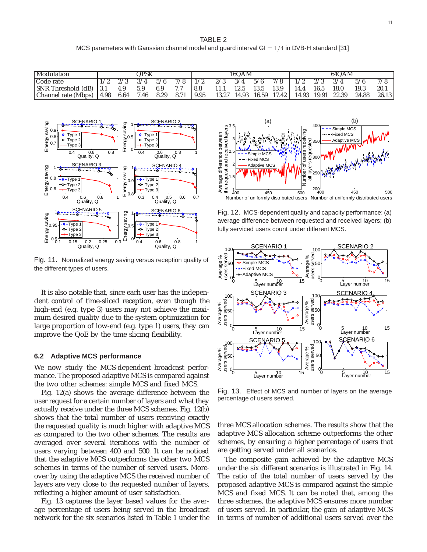TABLE 2 MCS parameters with Gaussian channel model and guard interval GI = 1*/*4 in DVB-H standard [31]

| Modulation          | OPSK        |      |      |      | 16QAM |      |       |       | 64QAM |       |       |       |       |       |       |
|---------------------|-------------|------|------|------|-------|------|-------|-------|-------|-------|-------|-------|-------|-------|-------|
| Code rate           | $\sqrt{2}$  |      |      | 5/6  | 7/8   |      | 2/3   | 3/4   | 5/6   | 7/8   |       |       |       | 5/6   |       |
| SNR Threshold (dB)  | $\vert 3.1$ | 4.9  | 5.9  | 6.9  |       | 8.8  |       | 12.5  | 13.5  | 13.9  | 14.4  | 16.5  | 18.0  | 19.3  | 20.1  |
| Channel rate (Mbps) | 4.98        | 6.64 | 7.46 | 8.29 | 8.71  | 9.95 | 13.27 | 14.93 | 16.59 | 17.42 | 14.93 | 19.91 | 22.39 | 24.88 | 26.13 |



Fig. 11. Normalized energy saving versus reception quality of the different types of users.

It is also notable that, since each user has the independent control of time-sliced reception, even though the high-end (e.g. type 3) users may not achieve the maximum desired quality due to the system optimization for large proportion of low-end (e.g. type 1) users, they can improve the QoE by the time slicing flexibility.

#### **6.2 Adaptive MCS performance**

We now study the MCS-dependent broadcast performance. The proposed adaptive MCS is compared against the two other schemes: simple MCS and fixed MCS.

Fig. 12(a) shows the average difference between the user request for a certain number of layers and what they actually receive under the three MCS schemes. Fig. 12(b) shows that the total number of users receiving exactly the requested quality is much higher with adaptive MCS as compared to the two other schemes. The results are averaged over several iterations with the number of users varying between 400 and 500. It can be noticed that the adaptive MCS outperforms the other two MCS schemes in terms of the number of served users. Moreover by using the adaptive MCS the received number of layers are very close to the requested number of layers, reflecting a higher amount of user satisfaction.

Fig. 13 captures the layer based values for the average percentage of users being served in the broadcast network for the six scenarios listed in Table 1 under the

![](_page_10_Figure_9.jpeg)

Fig. 12. MCS-dependent quality and capacity performance: (a) average difference between requested and received layers; (b) fully serviced users count under different MCS.

![](_page_10_Figure_11.jpeg)

Fig. 13. Effect of MCS and number of layers on the average percentage of users served.

three MCS allocation schemes. The results show that the adaptive MCS allocation scheme outperforms the other schemes, by ensuring a higher percentage of users that are getting served under all scenarios.

The composite gain achieved by the adaptive MCS under the six different scenarios is illustrated in Fig. 14. The ratio of the total number of users served by the proposed adaptive MCS is compared against the simple MCS and fixed MCS. It can be noted that, among the three schemes, the adaptive MCS ensures more number of users served. In particular, the gain of adaptive MCS in terms of number of additional users served over the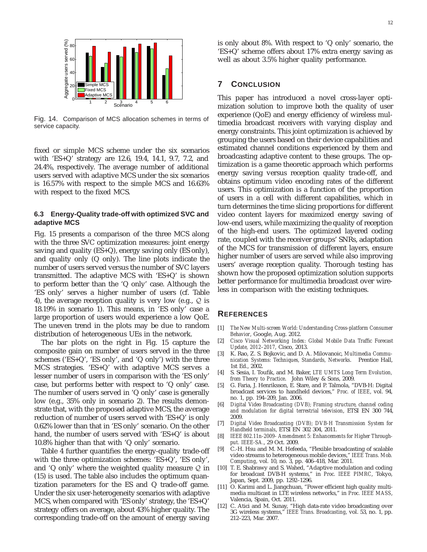![](_page_11_Figure_0.jpeg)

Fig. 14. Comparison of MCS allocation schemes in terms of service capacity.

fixed or simple MCS scheme under the six scenarios with 'ES+Q' strategy are 12.6, 19.4, 14.1, 9.7, 7.2, and 24.4%, respectively. The average number of additional users served with adaptive MCS under the six scenarios is 16.57% with respect to the simple MCS and 16.63% with respect to the fixed MCS.

## **6.3 Energy-Quality trade-off with optimized SVC and adaptive MCS**

Fig. 15 presents a comparison of the three MCS along with the three SVC optimization measures: joint energy saving and quality (ES+Q), energy saving only (ES only), and quality only (Q only). The line plots indicate the number of users served versus the number of SVC layers transmitted. The adaptive MCS with 'ES+Q' is shown to perform better than the 'Q only' case. Although the 'ES only' serves a higher number of users (cf. Table 4), the average reception quality is very low (e.g.,  $Q$  is 18.19% in scenario 1). This means, in 'ES only' case a large proportion of users would experience a low QoE. The uneven trend in the plots may be due to random distribution of heterogeneous UEs in the network.

The bar plots on the right in Fig. 15 capture the composite gain on number of users served in the three schemes (' $ES+Q$ ', ' $ES$  only', and ' $Q$  only') with the three MCS strategies. 'ES+Q' with adaptive MCS serves a lesser number of users in comparison with the 'ES only' case, but performs better with respect to 'Q only' case. The number of users served in 'Q only' case is generally low (e.g., 35% only in scenario 2). The results demonstrate that, with the proposed adaptive MCS, the average reduction of number of users served with 'ES+Q' is only 0.62% lower than that in 'ES only' scenario. On the other hand, the number of users served with 'ES+Q' is about 10.8% higher than that with 'Q only' scenario.

Table 4 further quantifies the energy-quality trade-off with the three optimization schemes: 'ES+Q', 'ES only', and 'Q only' where the weighted quality measure  $Q$  in (15) is used. The table also includes the optimum quantization parameters for the ES and Q trade-off game. Under the six user-heterogeneity scenarios with adaptive MCS, when compared with 'ES only' strategy, the 'ES+Q' strategy offers on average, about 43% higher quality. The corresponding trade-off on the amount of energy saving is only about 8%. With respect to 'Q only' scenario, the 'ES+Q' scheme offers about 17% extra energy saving as well as about 3.5% higher quality performance.

# **7 CONCLUSION**

This paper has introduced a novel cross-layer optimization solution to improve both the quality of user experience (QoE) and energy efficiency of wireless multimedia broadcast receivers with varying display and energy constraints. This joint optimization is achieved by grouping the users based on their device capabilities and estimated channel conditions experienced by them and broadcasting adaptive content to these groups. The optimization is a game theoretic approach which performs energy saving versus reception quality trade-off, and obtains optimum video encoding rates of the different users. This optimization is a function of the proportion of users in a cell with different capabilities, which in turn determines the time slicing proportions for different video content layers for maximized energy saving of low-end users, while maximizing the quality of reception of the high-end users. The optimized layered coding rate, coupled with the receiver groups' SNRs, adaptation of the MCS for transmission of different layers, ensure higher number of users are served while also improving users' average reception quality. Thorough testing has shown how the proposed optimization solution supports better performance for multimedia broadcast over wireless in comparison with the existing techniques.

#### **REFERENCES**

- [1] *The New Multi-screen World: Understanding Cross-platform Consumer Behavior*, Google, Aug. 2012.
- [2] *Cisco Visual Networking Index: Global Mobile Data Traffic Forecast Update, 2012–2017*, Cisco, 2013.
- [3] K. Rao, Z. S. Bojkovic, and D. A. Milovanoic, *Multimedia Communication Systems: Techniques, Standards, Networks*. Prentice Hall, 1st Ed., 2002.
- [4] S. Sesia, I. Toufik, and M. Baker, *LTE UMTS Long Term Evolution, from Theory to Practice*. John Wiley & Sons, 2009.
- [5] G. Faria, J. Henriksson, E. Stare, and P. Talmola, "DVB-H: Digital broadcast services to handheld devices," *Proc. of IEEE*, vol. 94, no. 1, pp. 194–209, Jan. 2006.
- [6] *Digital Video Broadcasting (DVB); Framing structure, channel coding and modulation for digital terrestrial television*, ETSI EN 300 744, 2009.
- [7] *Digital Video Broadcasting (DVB); DVB-H Transmission System for Handheld terminals*, ETSI EN 302 304, 2011.
- [8] *IEEE 802.11n-2009- Amendment 5: Enhancements for Higher Throughput. IEEE-SA.*, 29 Oct. 2009.
- [9] C.-H. Hsu and M. M. Hefeeda, "Flexible broadcasting of scalable video streams to heterogeneous mobile devices," *IEEE Trans. Mob. Computing*, vol. 10, no. 3, pp. 406–418, Mar. 2011.
- [10] T. E. Shabrawy and S. Wahed, "Adaptive modulation and coding for broadcast DVB-H systems," in *Proc. IEEE PIMRC*, Tokyo, Japan, Sept. 2009, pp. 1292–1296.
- [11] O. Karimi and L. Jiangchuan, "Power efficient high quality multimedia multicast in LTE wireless networks," in *Proc. IEEE MASS*, Valencia, Spain, Oct. 2011.
- [12] C. Atici and M. Sunay, "High data-rate video broadcasting over 3G wireless systems," *IEEE Trans. Broadcasting*, vol. 53, no. 1, pp. 212–223, Mar. 2007.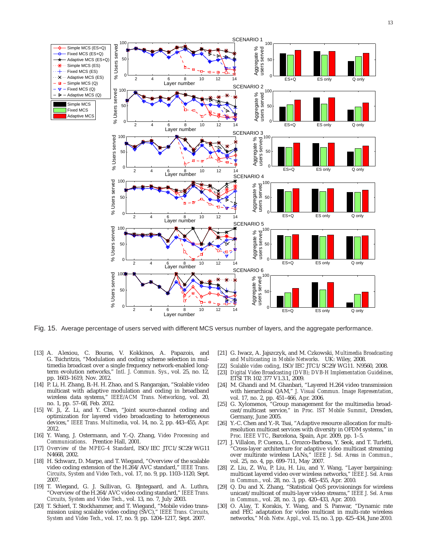![](_page_12_Figure_1.jpeg)

Fig. 15. Average percentage of users served with different MCS versus number of layers, and the aggregate performance.

- [13] A. Alexiou, C. Bouras, V. Kokkinos, A. Papazois, and G. Tsichritzis, "Modulation and coding scheme selection in multimedia broadcast over a single frequency network-enabled longterm evolution networks," *Intl. J. Commun. Sys.*, vol. 25, no. 12, pp. 1603–1619, Nov. 2012.
- [14] P. Li, H. Zhang, B.-H. H. Zhao, and S. Rangarajan, "Scalable video multicast with adaptive modulation and coding in broadband wireless data systems," *IEEE/ACM Trans. Networking*, vol. 20, no. 1, pp. 57–68, Feb. 2012.
- [15] W. Ji, Z. Li, and Y. Chen, "Joint source-channel coding and optimization for layered video broadcasting to heterogeneous devices," *IEEE Trans. Multimedia*, vol. 14, no. 2, pp. 443–455, Apr. 2012.
- [16] Y. Wang, J. Ostermann, and Y.-Q. Zhang, *Video Processing and Communications*. Prentice Hall, 2001.
- [17] *Overview of the MPEG-4 Standard*, ISO/IEC JTC1/SC29/WG11 N4668, 2002.
- [18] H. Schwarz, D. Marpe, and T. Wiegand, "Overview of the scalable video coding extension of the H.264/AVC standard," *IEEE Trans. Circuits, System and Video Tech.*, vol. 17, no. 9, pp. 1103–1120, Sept. 2007.
- [19] T. Wiegand, G. J. Sullivan, G. Bjntegaard, and A. Luthra, "Overview of the H.264/AVC video coding standard," *IEEE Trans. Circuits, System and Video Tech.*, vol. 13, no. 7, July 2003.
- [20] T. Schierl, T. Stockhammer, and T. Wiegand, "Mobile video transmission using scalable video coding (SVC)," *IEEE Trans. Circuits, System and Video Tech.*, vol. 17, no. 9, pp. 1204–1217, Sept. 2007.
- [21] G. Iwacz, A. Jajszczyk, and M. Czkowski, *Multimedia Broadcasting and Multicasting in Mobile Networks*. UK: Wiley, 2008.
- [22] *Scalable video coding*, ISO/IEC JTC1/SC29/WG11. N9560, 2008.
- [23] *Digital Video Broadcasting (DVB); DVB-H Implementation Guidelines*, ETSI TR 102 377 V1.3.1, 2009.
- [24] M. Ghandi and M. Ghanbari, "Layered H.264 video transmission with hierarchical QAM," *J. Visual Commun. Image Representation*, vol. 17, no. 2, pp. 451–466, Apr. 2006.
- [25] G. Xylomenos, "Group management for the multimedia broadcast/multicast service," in *Proc. IST Mobile Summit*, Dresden, Germany, June 2005.
- [26] Y.-C. Chen and Y.-R. Tsai, "Adaptive resource allocation for multiresolution multicast services with diversity in OFDM systems," in *Proc. IEEE VTC*, Barcelona, Spain, Apr. 2009, pp. 1–5.
- [27] J. Villalon, P. Cuenca, L. Orozco-Barbosa, Y. Seok, and T. Turletti, "Cross-layer architecture for adaptive video multicast streaming over multirate wireless LANs," *IEEE J. Sel. Areas in Commun.*, vol. 25, no. 4, pp. 699–711, May 2007.
- [28] Z. Liu, Z. Wu, P. Liu, H. Liu, and Y. Wang, "Layer bargaining: multicast layered video over wireless networks," *IEEE J. Sel. Areas in Commun.*, vol. 28, no. 3, pp. 445–455, Apr. 2010.
- [29] Q. Du and X. Zhang, "Statistical QoS provisionings for wireless unicast/multicast of multi-layer video streams," *IEEE J. Sel. Areas in Commun.*, vol. 28, no. 3, pp. 420–433, Apr. 2010.
- [30] O. Alay, T. Korakis, Y. Wang, and S. Panwar, "Dynamic rate and FEC adaptation for video multicast in multi-rate wireless networks," *Mob. Netw. Appl.*, vol. 15, no. 3, pp. 425–434, June 2010.